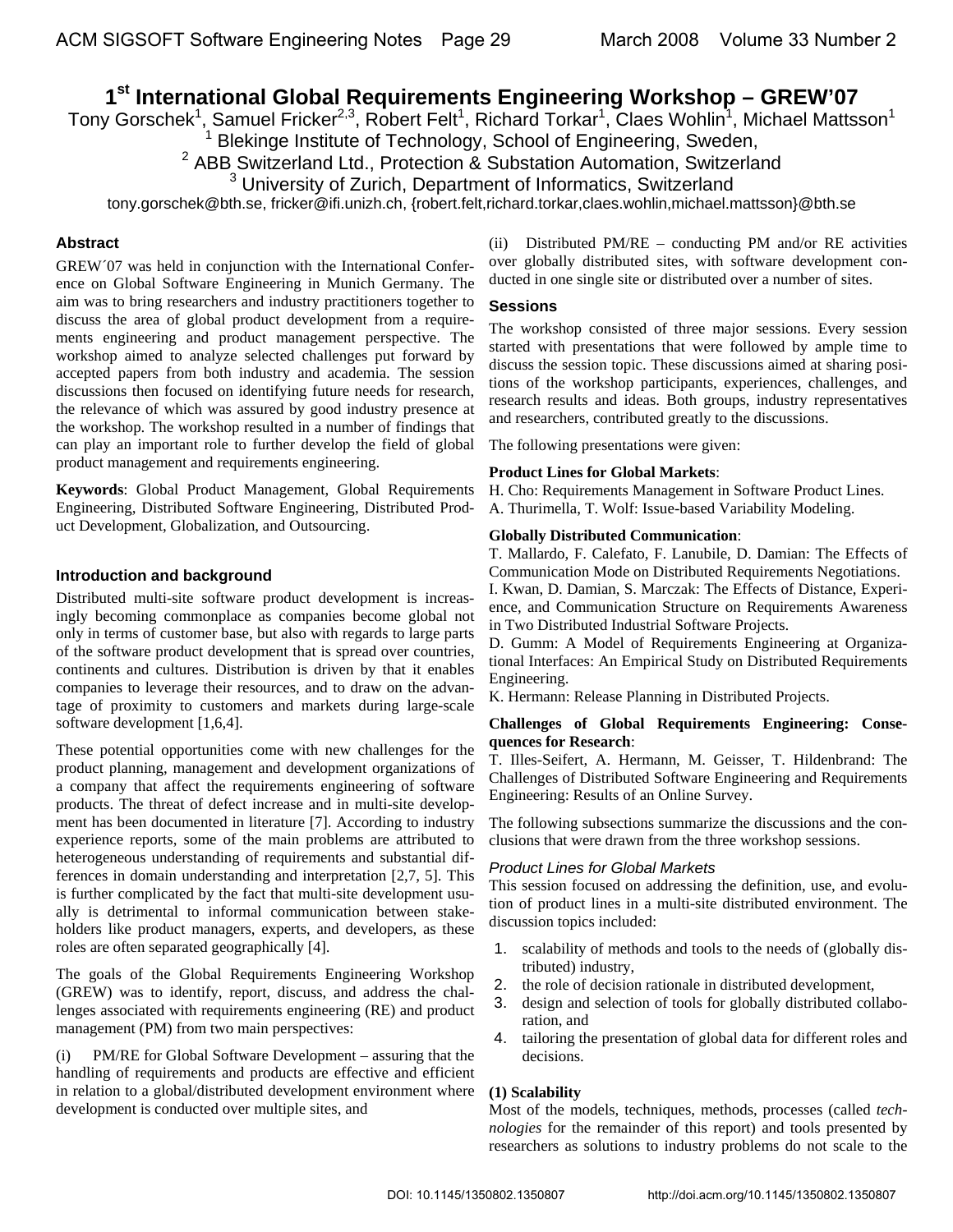# **1st International Global Requirements Engineering Workshop – GREW'07**

Tony Gorschek<sup>1</sup>, Samuel Fricker<sup>2,3</sup>, Robert Felt<sup>1</sup>, Richard Torkar<sup>1</sup>, Claes Wohlin<sup>1</sup>, Michael Mattsson<sup>1</sup>

<sup>1</sup> Blekinge Institute of Technology, School of Engineering, Sweden,<br><sup>2</sup> ABB Switzerland Ltd., Protection & Substation Automation, Switzerland

tony.gorschek@bth.se, fricker@ifi.unizh.ch, {robert.felt,richard.torkar,claes.wohlin,michael.mattsson}@bth.se

# **Abstract**

GREW´07 was held in conjunction with the International Conference on Global Software Engineering in Munich Germany. The aim was to bring researchers and industry practitioners together to discuss the area of global product development from a requirements engineering and product management perspective. The workshop aimed to analyze selected challenges put forward by accepted papers from both industry and academia. The session discussions then focused on identifying future needs for research, the relevance of which was assured by good industry presence at the workshop. The workshop resulted in a number of findings that can play an important role to further develop the field of global product management and requirements engineering.

**Keywords**: Global Product Management, Global Requirements Engineering, Distributed Software Engineering, Distributed Product Development, Globalization, and Outsourcing.

# **Introduction and background**

Distributed multi-site software product development is increasingly becoming commonplace as companies become global not only in terms of customer base, but also with regards to large parts of the software product development that is spread over countries, continents and cultures. Distribution is driven by that it enables companies to leverage their resources, and to draw on the advantage of proximity to customers and markets during large-scale software development [1,6,4].

These potential opportunities come with new challenges for the product planning, management and development organizations of a company that affect the requirements engineering of software products. The threat of defect increase and in multi-site development has been documented in literature [7]. According to industry experience reports, some of the main problems are attributed to heterogeneous understanding of requirements and substantial differences in domain understanding and interpretation [2,7, 5]. This is further complicated by the fact that multi-site development usually is detrimental to informal communication between stakeholders like product managers, experts, and developers, as these roles are often separated geographically [4].

The goals of the Global Requirements Engineering Workshop (GREW) was to identify, report, discuss, and address the challenges associated with requirements engineering (RE) and product management (PM) from two main perspectives:

(i) PM/RE for Global Software Development – assuring that the handling of requirements and products are effective and efficient in relation to a global/distributed development environment where development is conducted over multiple sites, and

(ii) Distributed PM/RE – conducting PM and/or RE activities over globally distributed sites, with software development conducted in one single site or distributed over a number of sites.

# **Sessions**

The workshop consisted of three major sessions. Every session started with presentations that were followed by ample time to discuss the session topic. These discussions aimed at sharing positions of the workshop participants, experiences, challenges, and research results and ideas. Both groups, industry representatives and researchers, contributed greatly to the discussions.

The following presentations were given:

## **Product Lines for Global Markets**:

H. Cho: Requirements Management in Software Product Lines. A. Thurimella, T. Wolf: Issue-based Variability Modeling.

## **Globally Distributed Communication**:

T. Mallardo, F. Calefato, F. Lanubile, D. Damian: The Effects of Communication Mode on Distributed Requirements Negotiations.

I. Kwan, D. Damian, S. Marczak: The Effects of Distance, Experience, and Communication Structure on Requirements Awareness in Two Distributed Industrial Software Projects.

D. Gumm: A Model of Requirements Engineering at Organizational Interfaces: An Empirical Study on Distributed Requirements Engineering.

K. Hermann: Release Planning in Distributed Projects.

## **Challenges of Global Requirements Engineering: Consequences for Research**:

T. Illes-Seifert, A. Hermann, M. Geisser, T. Hildenbrand: The Challenges of Distributed Software Engineering and Requirements Engineering: Results of an Online Survey.

The following subsections summarize the discussions and the conclusions that were drawn from the three workshop sessions.

# *Product Lines for Global Markets*

This session focused on addressing the definition, use, and evolution of product lines in a multi-site distributed environment. The discussion topics included:

- 1. scalability of methods and tools to the needs of (globally distributed) industry,
- 2. the role of decision rationale in distributed development,
- 3. design and selection of tools for globally distributed collaboration, and
- 4. tailoring the presentation of global data for different roles and decisions.

# **(1) Scalability**

Most of the models, techniques, methods, processes (called *technologies* for the remainder of this report) and tools presented by researchers as solutions to industry problems do not scale to the

<sup>&</sup>lt;sup>3</sup> University of Zurich, Department of Informatics, Switzerland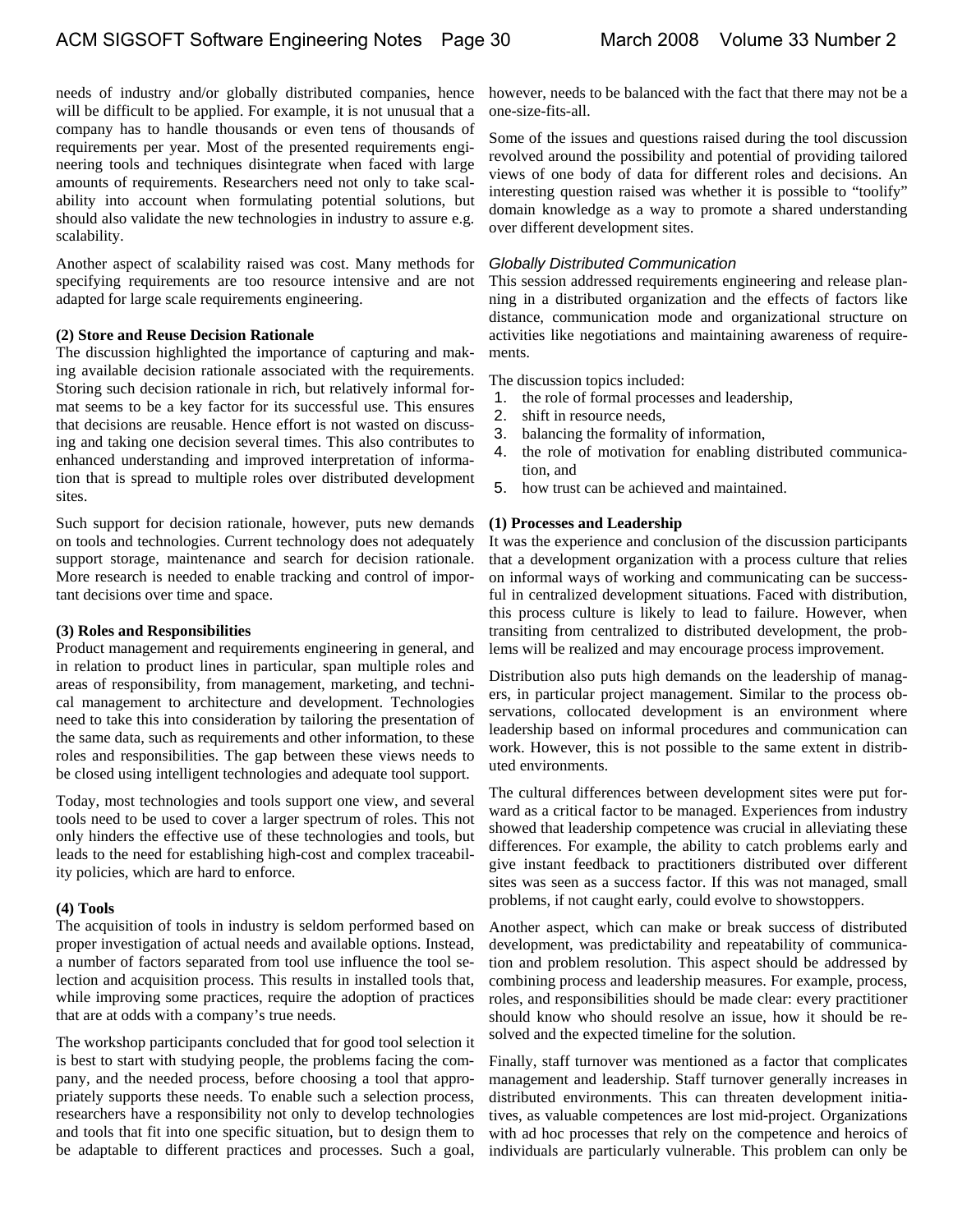needs of industry and/or globally distributed companies, hence will be difficult to be applied. For example, it is not unusual that a company has to handle thousands or even tens of thousands of requirements per year. Most of the presented requirements engineering tools and techniques disintegrate when faced with large amounts of requirements. Researchers need not only to take scalability into account when formulating potential solutions, but should also validate the new technologies in industry to assure e.g. scalability.

Another aspect of scalability raised was cost. Many methods for specifying requirements are too resource intensive and are not adapted for large scale requirements engineering.

#### **(2) Store and Reuse Decision Rationale**

The discussion highlighted the importance of capturing and making available decision rationale associated with the requirements. Storing such decision rationale in rich, but relatively informal format seems to be a key factor for its successful use. This ensures that decisions are reusable. Hence effort is not wasted on discussing and taking one decision several times. This also contributes to enhanced understanding and improved interpretation of information that is spread to multiple roles over distributed development sites.

Such support for decision rationale, however, puts new demands on tools and technologies. Current technology does not adequately support storage, maintenance and search for decision rationale. More research is needed to enable tracking and control of important decisions over time and space.

#### **(3) Roles and Responsibilities**

Product management and requirements engineering in general, and in relation to product lines in particular, span multiple roles and areas of responsibility, from management, marketing, and technical management to architecture and development. Technologies need to take this into consideration by tailoring the presentation of the same data, such as requirements and other information, to these roles and responsibilities. The gap between these views needs to be closed using intelligent technologies and adequate tool support.

Today, most technologies and tools support one view, and several tools need to be used to cover a larger spectrum of roles. This not only hinders the effective use of these technologies and tools, but leads to the need for establishing high-cost and complex traceability policies, which are hard to enforce.

#### **(4) Tools**

The acquisition of tools in industry is seldom performed based on proper investigation of actual needs and available options. Instead, a number of factors separated from tool use influence the tool selection and acquisition process. This results in installed tools that, while improving some practices, require the adoption of practices that are at odds with a company's true needs.

The workshop participants concluded that for good tool selection it is best to start with studying people, the problems facing the company, and the needed process, before choosing a tool that appropriately supports these needs. To enable such a selection process, researchers have a responsibility not only to develop technologies and tools that fit into one specific situation, but to design them to be adaptable to different practices and processes. Such a goal,

however, needs to be balanced with the fact that there may not be a one-size-fits-all.

Some of the issues and questions raised during the tool discussion revolved around the possibility and potential of providing tailored views of one body of data for different roles and decisions. An interesting question raised was whether it is possible to "toolify" domain knowledge as a way to promote a shared understanding over different development sites.

#### *Globally Distributed Communication*

This session addressed requirements engineering and release planning in a distributed organization and the effects of factors like distance, communication mode and organizational structure on activities like negotiations and maintaining awareness of requirements.

The discussion topics included:

- 1. the role of formal processes and leadership,
- 2. shift in resource needs,
- 3. balancing the formality of information,
- 4. the role of motivation for enabling distributed communication, and
- 5. how trust can be achieved and maintained.

## **(1) Processes and Leadership**

It was the experience and conclusion of the discussion participants that a development organization with a process culture that relies on informal ways of working and communicating can be successful in centralized development situations. Faced with distribution, this process culture is likely to lead to failure. However, when transiting from centralized to distributed development, the problems will be realized and may encourage process improvement.

Distribution also puts high demands on the leadership of managers, in particular project management. Similar to the process observations, collocated development is an environment where leadership based on informal procedures and communication can work. However, this is not possible to the same extent in distributed environments.

The cultural differences between development sites were put forward as a critical factor to be managed. Experiences from industry showed that leadership competence was crucial in alleviating these differences. For example, the ability to catch problems early and give instant feedback to practitioners distributed over different sites was seen as a success factor. If this was not managed, small problems, if not caught early, could evolve to showstoppers.

Another aspect, which can make or break success of distributed development, was predictability and repeatability of communication and problem resolution. This aspect should be addressed by combining process and leadership measures. For example, process, roles, and responsibilities should be made clear: every practitioner should know who should resolve an issue, how it should be resolved and the expected timeline for the solution.

Finally, staff turnover was mentioned as a factor that complicates management and leadership. Staff turnover generally increases in distributed environments. This can threaten development initiatives, as valuable competences are lost mid-project. Organizations with ad hoc processes that rely on the competence and heroics of individuals are particularly vulnerable. This problem can only be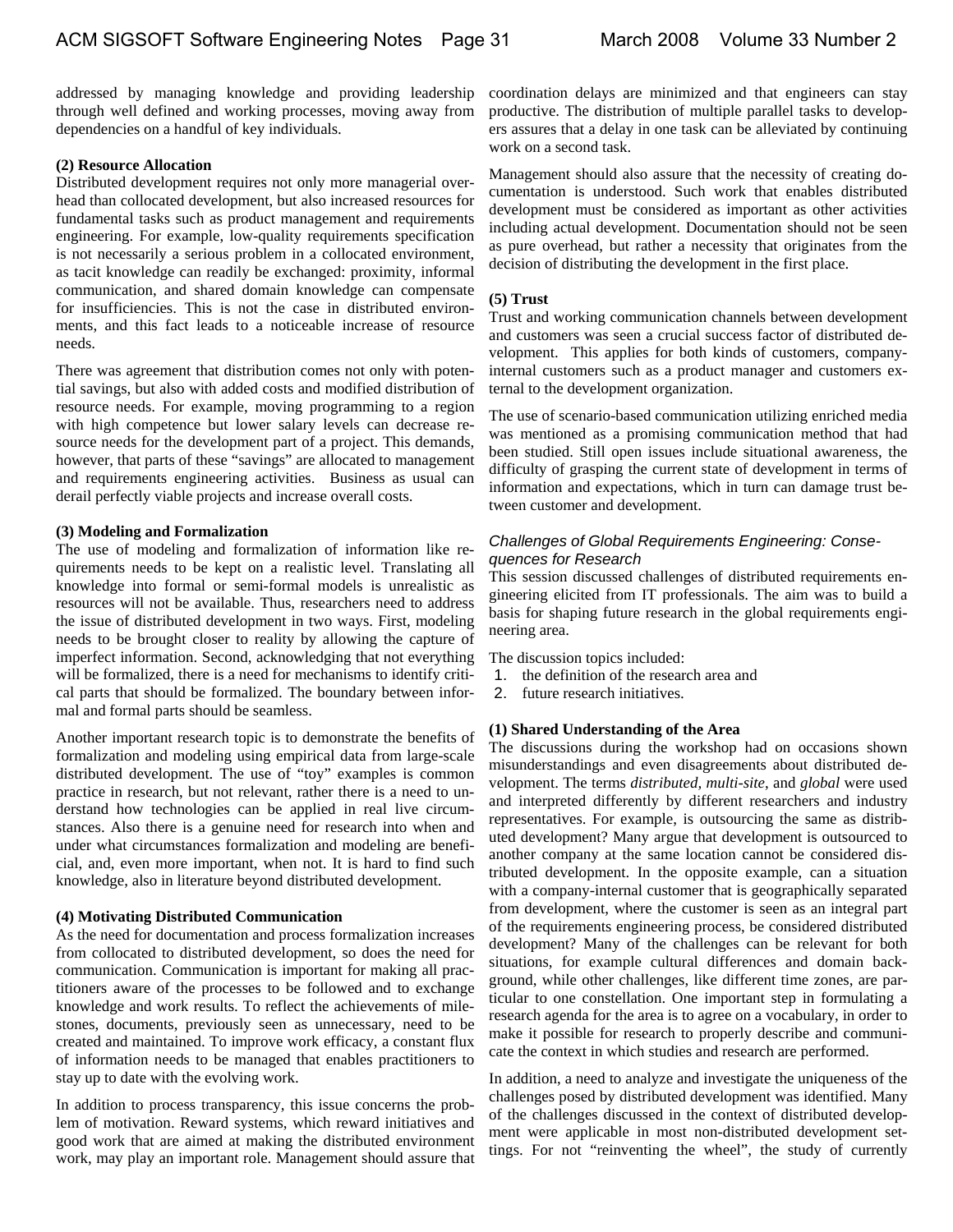addressed by managing knowledge and providing leadership through well defined and working processes, moving away from dependencies on a handful of key individuals.

#### **(2) Resource Allocation**

Distributed development requires not only more managerial overhead than collocated development, but also increased resources for fundamental tasks such as product management and requirements engineering. For example, low-quality requirements specification is not necessarily a serious problem in a collocated environment, as tacit knowledge can readily be exchanged: proximity, informal communication, and shared domain knowledge can compensate for insufficiencies. This is not the case in distributed environments, and this fact leads to a noticeable increase of resource needs.

There was agreement that distribution comes not only with potential savings, but also with added costs and modified distribution of resource needs. For example, moving programming to a region with high competence but lower salary levels can decrease resource needs for the development part of a project. This demands, however, that parts of these "savings" are allocated to management and requirements engineering activities. Business as usual can derail perfectly viable projects and increase overall costs.

#### **(3) Modeling and Formalization**

The use of modeling and formalization of information like requirements needs to be kept on a realistic level. Translating all knowledge into formal or semi-formal models is unrealistic as resources will not be available. Thus, researchers need to address the issue of distributed development in two ways. First, modeling needs to be brought closer to reality by allowing the capture of imperfect information. Second, acknowledging that not everything will be formalized, there is a need for mechanisms to identify critical parts that should be formalized. The boundary between informal and formal parts should be seamless.

Another important research topic is to demonstrate the benefits of formalization and modeling using empirical data from large-scale distributed development. The use of "toy" examples is common practice in research, but not relevant, rather there is a need to understand how technologies can be applied in real live circumstances. Also there is a genuine need for research into when and under what circumstances formalization and modeling are beneficial, and, even more important, when not. It is hard to find such knowledge, also in literature beyond distributed development.

#### **(4) Motivating Distributed Communication**

As the need for documentation and process formalization increases from collocated to distributed development, so does the need for communication. Communication is important for making all practitioners aware of the processes to be followed and to exchange knowledge and work results. To reflect the achievements of milestones, documents, previously seen as unnecessary, need to be created and maintained. To improve work efficacy, a constant flux of information needs to be managed that enables practitioners to stay up to date with the evolving work.

In addition to process transparency, this issue concerns the problem of motivation. Reward systems, which reward initiatives and good work that are aimed at making the distributed environment work, may play an important role. Management should assure that

coordination delays are minimized and that engineers can stay productive. The distribution of multiple parallel tasks to developers assures that a delay in one task can be alleviated by continuing work on a second task.

Management should also assure that the necessity of creating documentation is understood. Such work that enables distributed development must be considered as important as other activities including actual development. Documentation should not be seen as pure overhead, but rather a necessity that originates from the decision of distributing the development in the first place.

#### **(5) Trust**

Trust and working communication channels between development and customers was seen a crucial success factor of distributed development. This applies for both kinds of customers, companyinternal customers such as a product manager and customers external to the development organization.

The use of scenario-based communication utilizing enriched media was mentioned as a promising communication method that had been studied. Still open issues include situational awareness, the difficulty of grasping the current state of development in terms of information and expectations, which in turn can damage trust between customer and development.

## *Challenges of Global Requirements Engineering: Consequences for Research*

This session discussed challenges of distributed requirements engineering elicited from IT professionals. The aim was to build a basis for shaping future research in the global requirements engineering area.

The discussion topics included:

- 1. the definition of the research area and
- 2. future research initiatives.

## **(1) Shared Understanding of the Area**

The discussions during the workshop had on occasions shown misunderstandings and even disagreements about distributed development. The terms *distributed, multi-site*, and *global* were used and interpreted differently by different researchers and industry representatives. For example, is outsourcing the same as distributed development? Many argue that development is outsourced to another company at the same location cannot be considered distributed development. In the opposite example, can a situation with a company-internal customer that is geographically separated from development, where the customer is seen as an integral part of the requirements engineering process, be considered distributed development? Many of the challenges can be relevant for both situations, for example cultural differences and domain background, while other challenges, like different time zones, are particular to one constellation. One important step in formulating a research agenda for the area is to agree on a vocabulary, in order to make it possible for research to properly describe and communicate the context in which studies and research are performed.

In addition, a need to analyze and investigate the uniqueness of the challenges posed by distributed development was identified. Many of the challenges discussed in the context of distributed development were applicable in most non-distributed development settings. For not "reinventing the wheel", the study of currently